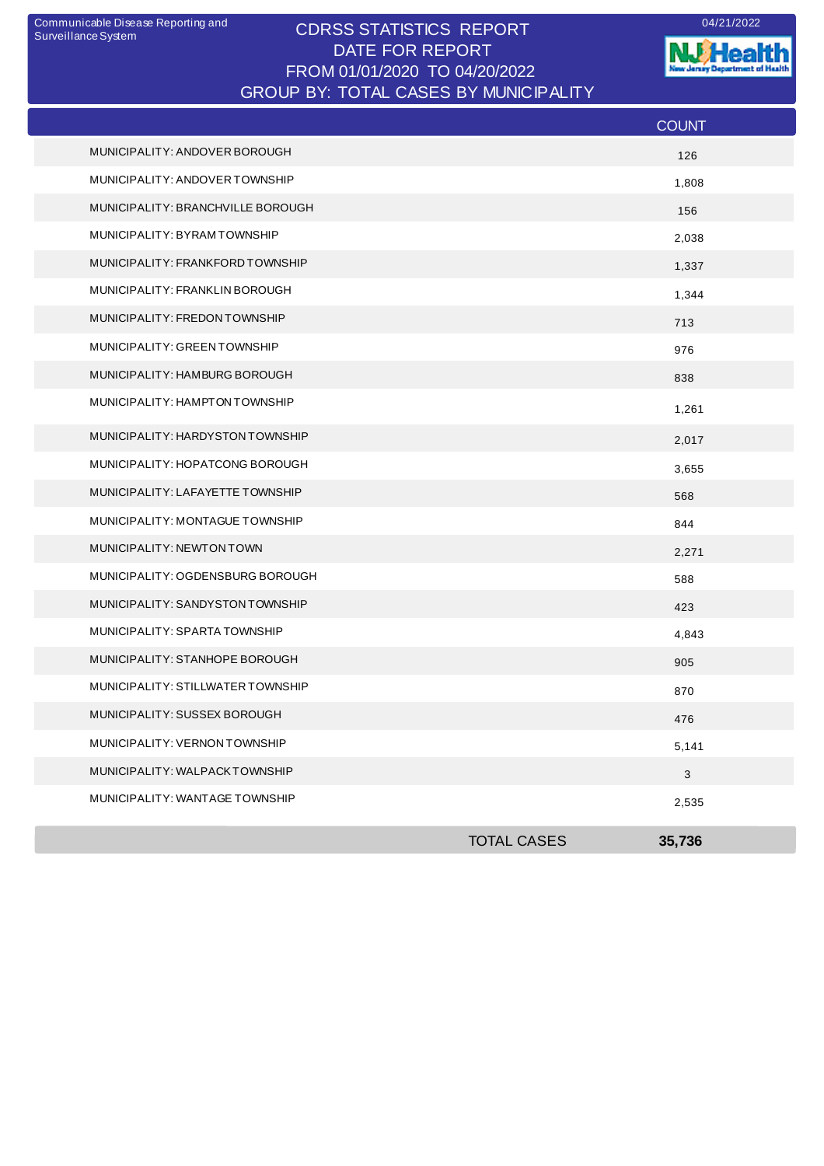## CDRSS STATISTICS REPORT Communicable Disease Reporting and 04/21/2022 DATE FOR REPORT FROM 01/01/2020 TO 04/20/2022 GROUP BY: TOTAL CASES BY MUNICIPALITY

**W.Health** nt of Health ò. al n

|                                   |                    | <b>COUNT</b>              |
|-----------------------------------|--------------------|---------------------------|
| MUNICIPALITY: ANDOVER BOROUGH     |                    | 126                       |
| MUNICIPALITY: ANDOVER TOWNSHIP    |                    | 1,808                     |
| MUNICIPALITY: BRANCHVILLE BOROUGH |                    | 156                       |
| MUNICIPALITY: BYRAMTOWNSHIP       |                    | 2,038                     |
| MUNICIPALITY: FRANKFORD TOWNSHIP  |                    | 1,337                     |
| MUNICIPALITY: FRANKLIN BOROUGH    |                    | 1,344                     |
| MUNICIPALITY: FREDON TOWNSHIP     |                    | 713                       |
| MUNICIPALITY: GREEN TOWNSHIP      |                    | 976                       |
| MUNICIPALITY: HAMBURG BOROUGH     |                    | 838                       |
| MUNICIPALITY: HAMPTON TOWNSHIP    |                    | 1,261                     |
| MUNICIPALITY: HARDYSTON TOWNSHIP  |                    | 2,017                     |
| MUNICIPALITY: HOPATCONG BOROUGH   |                    | 3,655                     |
| MUNICIPALITY: LAFAYETTE TOWNSHIP  |                    | 568                       |
| MUNICIPALITY: MONTAGUE TOWNSHIP   |                    | 844                       |
| MUNICIPALITY: NEWTON TOWN         |                    | 2,271                     |
| MUNICIPALITY: OGDENSBURG BOROUGH  |                    | 588                       |
| MUNICIPALITY: SANDYSTON TOWNSHIP  |                    | 423                       |
| MUNICIPALITY: SPARTA TOWNSHIP     |                    | 4,843                     |
| MUNICIPALITY: STANHOPE BOROUGH    |                    | 905                       |
| MUNICIPALITY: STILLWATER TOWNSHIP |                    | 870                       |
| MUNICIPALITY: SUSSEX BOROUGH      |                    | 476                       |
| MUNICIPALITY: VERNON TOWNSHIP     |                    | 5,141                     |
| MUNICIPALITY: WALPACKTOWNSHIP     |                    | $\ensuremath{\mathsf{3}}$ |
| MUNICIPALITY: WANTAGE TOWNSHIP    |                    | 2,535                     |
|                                   | <b>TOTAL CASES</b> | 35,736                    |